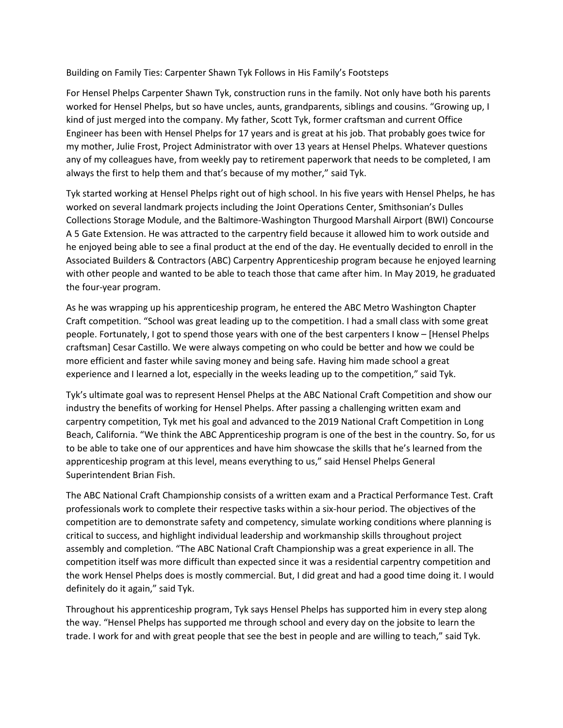Building on Family Ties: Carpenter Shawn Tyk Follows in His Family's Footsteps

For Hensel Phelps Carpenter Shawn Tyk, construction runs in the family. Not only have both his parents worked for Hensel Phelps, but so have uncles, aunts, grandparents, siblings and cousins. "Growing up, I kind of just merged into the company. My father, Scott Tyk, former craftsman and current Office Engineer has been with Hensel Phelps for 17 years and is great at his job. That probably goes twice for my mother, Julie Frost, Project Administrator with over 13 years at Hensel Phelps. Whatever questions any of my colleagues have, from weekly pay to retirement paperwork that needs to be completed, I am always the first to help them and that's because of my mother," said Tyk.

Tyk started working at Hensel Phelps right out of high school. In his five years with Hensel Phelps, he has worked on several landmark projects including the Joint Operations Center, Smithsonian's Dulles Collections Storage Module, and the Baltimore-Washington Thurgood Marshall Airport (BWI) Concourse A 5 Gate Extension. He was attracted to the carpentry field because it allowed him to work outside and he enjoyed being able to see a final product at the end of the day. He eventually decided to enroll in the Associated Builders & Contractors (ABC) Carpentry Apprenticeship program because he enjoyed learning with other people and wanted to be able to teach those that came after him. In May 2019, he graduated the four-year program.

As he was wrapping up his apprenticeship program, he entered the ABC Metro Washington Chapter Craft competition. "School was great leading up to the competition. I had a small class with some great people. Fortunately, I got to spend those years with one of the best carpenters I know – [Hensel Phelps craftsman] Cesar Castillo. We were always competing on who could be better and how we could be more efficient and faster while saving money and being safe. Having him made school a great experience and I learned a lot, especially in the weeks leading up to the competition," said Tyk.

Tyk's ultimate goal was to represent Hensel Phelps at the ABC National Craft Competition and show our industry the benefits of working for Hensel Phelps. After passing a challenging written exam and carpentry competition, Tyk met his goal and advanced to the 2019 National Craft Competition in Long Beach, California. "We think the ABC Apprenticeship program is one of the best in the country. So, for us to be able to take one of our apprentices and have him showcase the skills that he's learned from the apprenticeship program at this level, means everything to us," said Hensel Phelps General Superintendent Brian Fish.

The ABC National Craft Championship consists of a written exam and a Practical Performance Test. Craft professionals work to complete their respective tasks within a six-hour period. The objectives of the competition are to demonstrate safety and competency, simulate working conditions where planning is critical to success, and highlight individual leadership and workmanship skills throughout project assembly and completion. "The ABC National Craft Championship was a great experience in all. The competition itself was more difficult than expected since it was a residential carpentry competition and the work Hensel Phelps does is mostly commercial. But, I did great and had a good time doing it. I would definitely do it again," said Tyk.

Throughout his apprenticeship program, Tyk says Hensel Phelps has supported him in every step along the way. "Hensel Phelps has supported me through school and every day on the jobsite to learn the trade. I work for and with great people that see the best in people and are willing to teach," said Tyk.